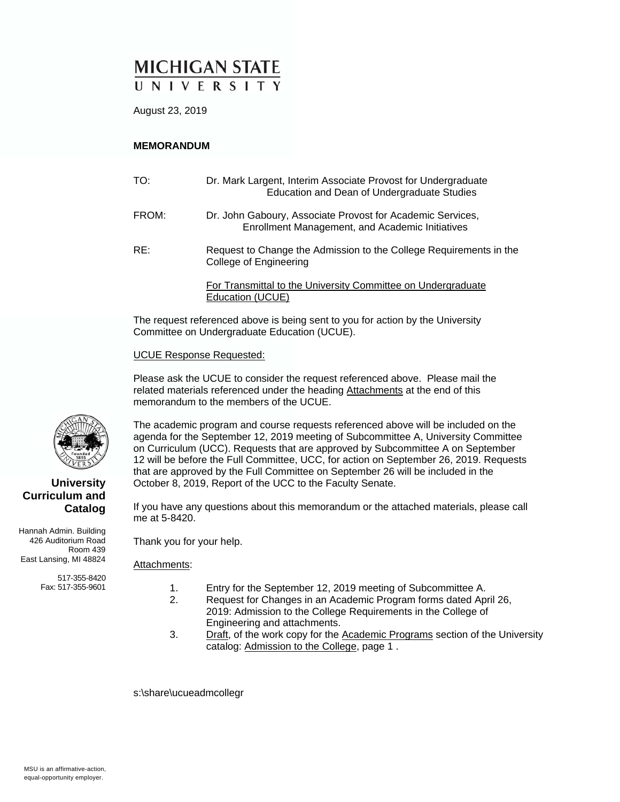# **MICHIGAN STATE** UNIVERSITY

August 23, 2019

### **MEMORANDUM**

| TO:   | Dr. Mark Largent, Interim Associate Provost for Undergraduate<br>Education and Dean of Undergraduate Studies  |
|-------|---------------------------------------------------------------------------------------------------------------|
| FROM: | Dr. John Gaboury, Associate Provost for Academic Services,<br>Enrollment Management, and Academic Initiatives |
| RE:   | Request to Change the Admission to the College Requirements in the<br>College of Engineering                  |
|       | For Transmittal to the University Committee on Undergraduate<br>Education (UCUE)                              |

The request referenced above is being sent to you for action by the University Committee on Undergraduate Education (UCUE).

#### UCUE Response Requested:

Please ask the UCUE to consider the request referenced above. Please mail the related materials referenced under the heading Attachments at the end of this memorandum to the members of the UCUE.

The academic program and course requests referenced above will be included on the agenda for the September 12, 2019 meeting of Subcommittee A, University Committee on Curriculum (UCC). Requests that are approved by Subcommittee A on September 12 will be before the Full Committee, UCC, for action on September 26, 2019. Requests that are approved by the Full Committee on September 26 will be included in the October 8, 2019, Report of the UCC to the Faculty Senate.

If you have any questions about this memorandum or the attached materials, please call me at 5-8420.

Thank you for your help.

#### Attachments:

- 1. Entry for the September 12, 2019 meeting of Subcommittee A.
- 2. Request for Changes in an Academic Program forms dated April 26, 2019: Admission to the College Requirements in the College of Engineering and attachments.
- 3. Draft, of the work copy for the Academic Programs section of the University catalog: Admission to the College, page 1 .

s:\share\ucueadmcollegr



### **University Curriculum and Catalog**

Hannah Admin. Building 426 Auditorium Road Room 439 East Lansing, MI 48824

> 517-355-8420 Fax: 517-355-9601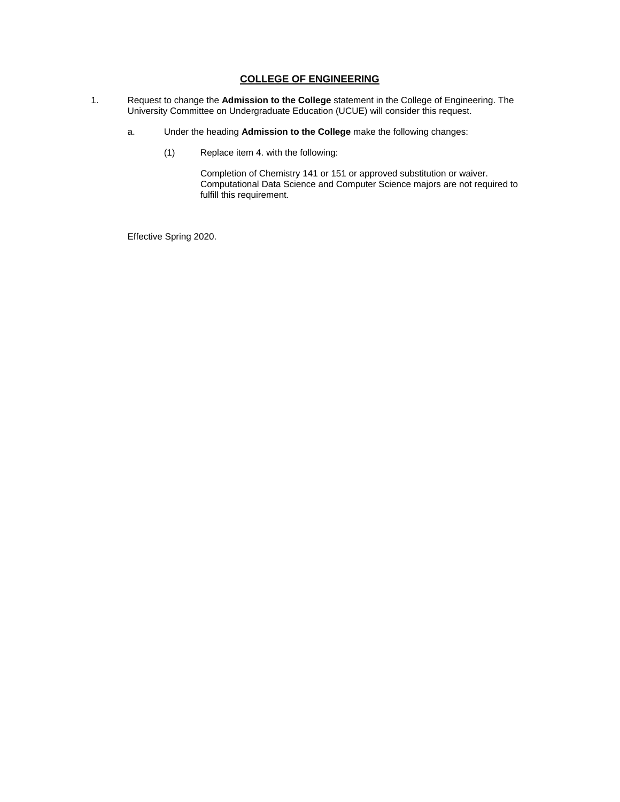### **COLLEGE OF ENGINEERING**

- 1. Request to change the **Admission to the College** statement in the College of Engineering. The University Committee on Undergraduate Education (UCUE) will consider this request.
	- a. Under the heading **Admission to the College** make the following changes:
		- (1) Replace item 4. with the following:

Completion of Chemistry 141 or 151 or approved substitution or waiver. Computational Data Science and Computer Science majors are not required to fulfill this requirement.

Effective Spring 2020.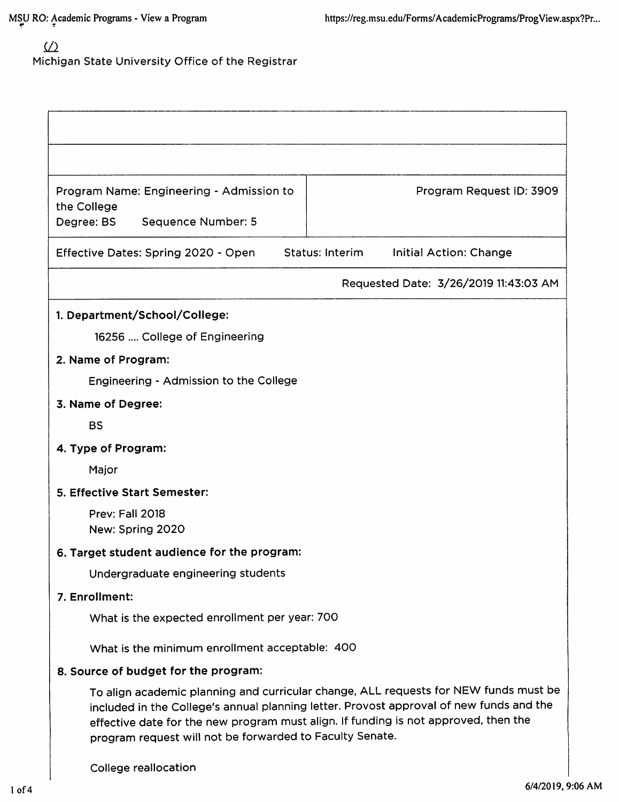## $\underline{\text{ }}\underline{\text{ }}\underline{\text{ }}\underline{\text{ }}\underline{\text{ }}\underline{\text{ }}\underline{\text{ }}\underline{\text{ }}\underline{\text{ }}\underline{\text{ }}\underline{\text{ }}\underline{\text{ }}\underline{\text{ }}\underline{\text{ }}\underline{\text{ }}\underline{\text{ }}\underline{\text{ }}\underline{\text{ }}\underline{\text{ }}\underline{\text{ }}\underline{\text{ }}\underline{\text{ }}\underline{\text{ }}\underline{\text{ }}\underline{\text{ }}\underline{\text{ }}\underline{\text{ }}\underline{\text{ }}\underline{\text{ }}\underline{\text{ }}\underline{\text{ }}\underline{\text{ }}\underline{\text{ }}\underline{\text{ }}\underline{\text{ }}\underline{\text{ }}\underline{\text$ Michigan State University Office of the Registrar

| Program Name: Engineering - Admission to<br>the College                                                                                                                                                                                                                                                                            |                        | Program Request ID: 3909              |  |
|------------------------------------------------------------------------------------------------------------------------------------------------------------------------------------------------------------------------------------------------------------------------------------------------------------------------------------|------------------------|---------------------------------------|--|
| Degree: BS<br>Sequence Number: 5                                                                                                                                                                                                                                                                                                   |                        |                                       |  |
| Effective Dates: Spring 2020 - Open                                                                                                                                                                                                                                                                                                | <b>Status: Interim</b> | Initial Action: Change                |  |
|                                                                                                                                                                                                                                                                                                                                    |                        | Requested Date: 3/26/2019 11:43:03 AM |  |
| 1. Department/School/College:                                                                                                                                                                                                                                                                                                      |                        |                                       |  |
| 16256  College of Engineering                                                                                                                                                                                                                                                                                                      |                        |                                       |  |
| 2. Name of Program:                                                                                                                                                                                                                                                                                                                |                        |                                       |  |
| Engineering - Admission to the College                                                                                                                                                                                                                                                                                             |                        |                                       |  |
| 3. Name of Degree:                                                                                                                                                                                                                                                                                                                 |                        |                                       |  |
| <b>BS</b>                                                                                                                                                                                                                                                                                                                          |                        |                                       |  |
| 4. Type of Program:                                                                                                                                                                                                                                                                                                                |                        |                                       |  |
| Major                                                                                                                                                                                                                                                                                                                              |                        |                                       |  |
| 5. Effective Start Semester:                                                                                                                                                                                                                                                                                                       |                        |                                       |  |
| Prev: Fall 2018<br>New: Spring 2020                                                                                                                                                                                                                                                                                                |                        |                                       |  |
| 6. Target student audience for the program:                                                                                                                                                                                                                                                                                        |                        |                                       |  |
| Undergraduate engineering students                                                                                                                                                                                                                                                                                                 |                        |                                       |  |
| 7. Enrollment:                                                                                                                                                                                                                                                                                                                     |                        |                                       |  |
| What is the expected enrollment per year: 700                                                                                                                                                                                                                                                                                      |                        |                                       |  |
| What is the minimum enrollment acceptable: 400                                                                                                                                                                                                                                                                                     |                        |                                       |  |
| 8. Source of budget for the program:                                                                                                                                                                                                                                                                                               |                        |                                       |  |
| To align academic planning and curricular change, ALL requests for NEW funds must be<br>included in the College's annual planning letter. Provost approval of new funds and the<br>effective date for the new program must align. If funding is not approved, then the<br>program request will not be forwarded to Faculty Senate. |                        |                                       |  |
| College reallocation                                                                                                                                                                                                                                                                                                               |                        |                                       |  |

 $\mathsf{l}$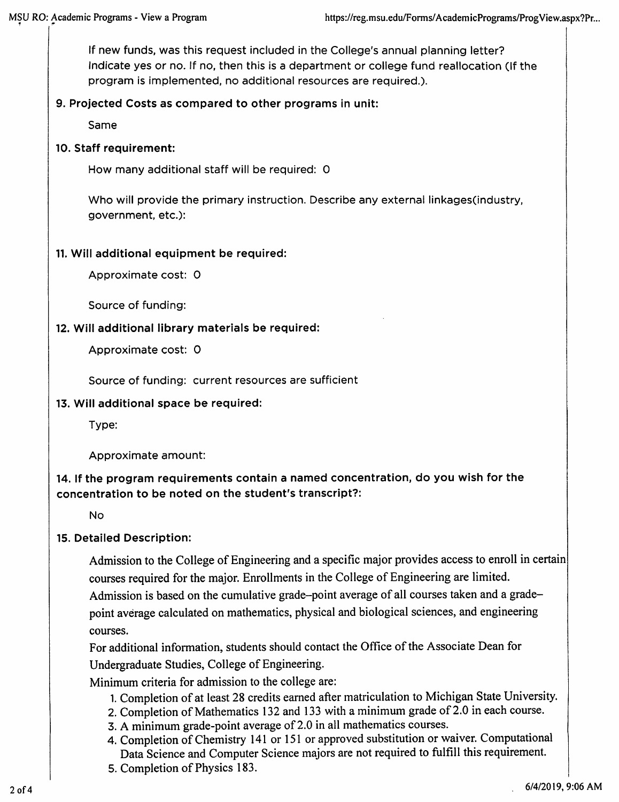If new funds, was this request included in the College's annual planning letter? Indicate yes or no. If no, then this is a department or college fund reallocation (If the program is implemented, no additional resources are required.).

## 9. Projected Costs as compared to other programs in unit:

Same

## 10. Staff requirement:

How many additional staff will be required: 0

Who will provide the primary instruction. Describe any external linkages (industry, government, etc.):

## 11. Will additional equipment be required:

Approximate cost: 0

Source of funding:

## 12. Will additional library materials be required:

Approximate cost: 0

Source of funding: current resources are sufficient

### 13. Will additional space be required:

Type:

Approximate amount:

## 14. If the program requirements contain a named concentration, do you wish for the concentration to be noted on the student's transcript?:

**No** 

## 15. Detailed Description:

Admission to the College of Engineering and a specific major provides access to enroll in certain courses required for the major. Enrollments in the College of Engineering are limited. Admission is based on the cumulative grade-point average of all courses taken and a gradepoint average calculated on mathematics, physical and biological sciences, and engineering courses.

For additional information, students should contact the Office of the Associate Dean for Undergraduate Studies, College of Engineering.

Minimum criteria for admission to the college are:

- 1. Completion of at least 28 credits earned after matriculation to Michigan State University.
- 2. Completion of Mathematics 132 and 133 with a minimum grade of 2.0 in each course.
- 3. A minimum grade-point average of 2.0 in all mathematics courses.
- 4. Completion of Chemistry 141 or 151 or approved substitution or waiver. Computational Data Science and Computer Science majors are not required to fulfill this requirement.
- 5. Completion of Physics 183.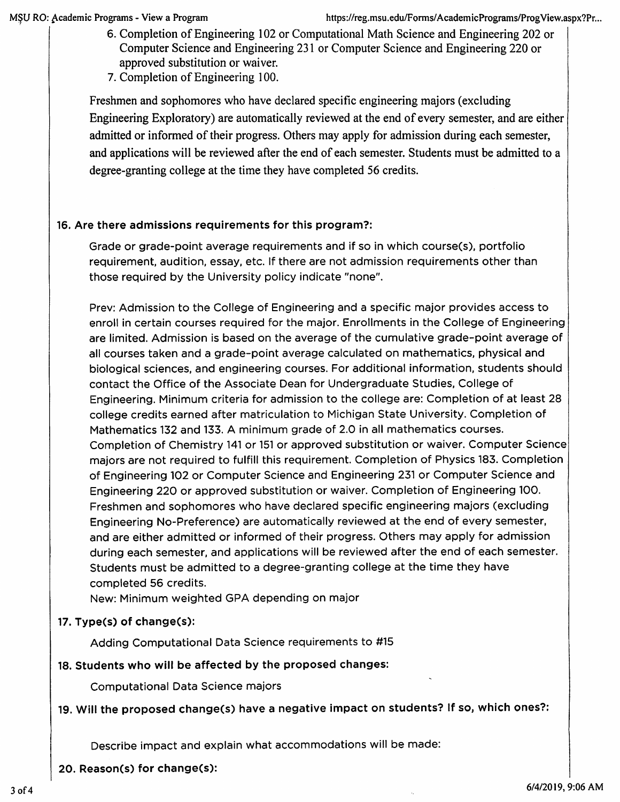- 6. Completion of Engineering 102 or Computational Math Science and Engineering 202 or Computer Science and Engineering 231 or Computer Science and Engineering 220 or approved substitution or waiver.
- 7. Completion of Engineering 100.

Freshmen and sophomores who have declared specific engineering majors (excluding Engineering Exploratory) are automatically reviewed at the end of every semester, and are either admitted or informed of their progress. Others may apply for admission during each semester, and applications will be reviewed after the end of each semester. Students must be admitted to a degree-granting college at the time they have completed 56 credits.

## 16. Are there admissions requirements for this program?:

Grade or grade-point average requirements and if so in which course(s), portfolio requirement, audition, essay, etc. If there are not admission requirements other than those required by the University policy indicate "none".

Prev: Admission to the College of Engineering and a specific major provides access to enroll in certain courses required for the major. Enrollments in the College of Engineering are limited. Admission is based on the average of the cumulative grade-point average of all courses taken and a grade-point average calculated on mathematics, physical and biological sciences, and engineering courses. For additional information, students should contact the Office of the Associate Dean for Undergraduate Studies, College of Engineering. Minimum criteria for admission to the college are: Completion of at least 28 college credits earned after matriculation to Michigan State University. Completion of Mathematics 132 and 133. A minimum grade of 2.0 in all mathematics courses. Completion of Chemistry 141 or 151 or approved substitution or waiver. Computer Science majors are not required to fulfill this requirement. Completion of Physics 183. Completion of Engineering 102 or Computer Science and Engineering 231 or Computer Science and Engineering 220 or approved substitution or waiver. Completion of Engineering 100. Freshmen and sophomores who have declared specific engineering majors (excluding Engineering No-Preference) are automatically reviewed at the end of every semester, and are either admitted or informed of their progress. Others may apply for admission during each semester, and applications will be reviewed after the end of each semester. Students must be admitted to a degree-granting college at the time they have completed 56 credits.

New: Minimum weighted GPA depending on major

## 17. Type(s) of change(s):

Adding Computational Data Science requirements to #15

### 18. Students who will be affected by the proposed changes:

**Computational Data Science majors** 

## 19. Will the proposed change(s) have a negative impact on students? If so, which ones?:

Describe impact and explain what accommodations will be made:

20. Reason(s) for change(s):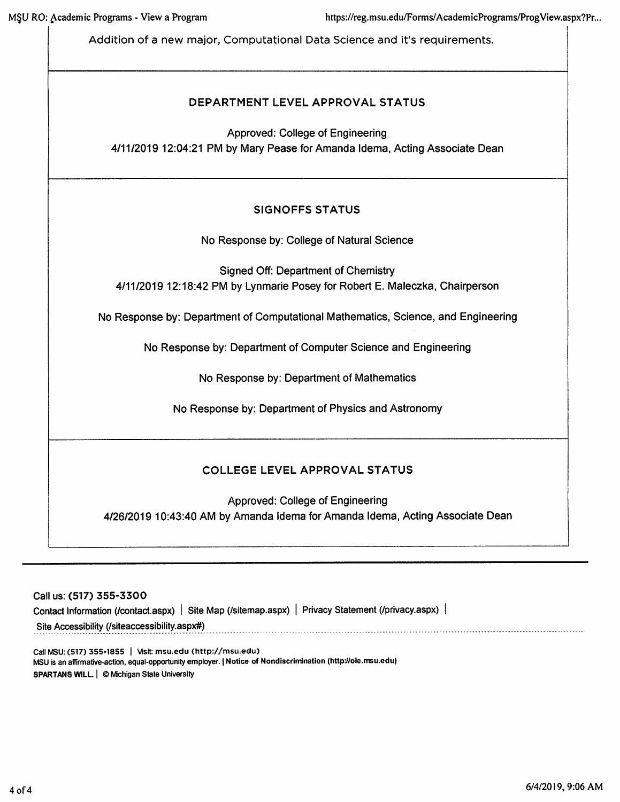Addition of a new major, Computational Data Science and it's requirements.

## DEPARTMENT LEVEL APPROVAL STATUS

Approved: College of Engineering 4/11/2019 12:04:21 PM by Mary Pease for Amanda Idema, Acting Associate Dean

## **SIGNOFFS STATUS**

No Response by: College of Natural Science

**Signed Off: Department of Chemistry** 4/11/2019 12:18:42 PM by Lynmarie Posey for Robert E. Maleczka, Chairperson

No Response by: Department of Computational Mathematics, Science, and Engineering

No Response by: Department of Computer Science and Engineering

No Response by: Department of Mathematics

No Response by: Department of Physics and Astronomy

## **COLLEGE LEVEL APPROVAL STATUS**

Approved: College of Engineering 4/26/2019 10:43:40 AM by Amanda Idema for Amanda Idema, Acting Associate Dean

Call us: (517) 355-3300

Contact Information (/contact.aspx) | Site Map (/sitemap.aspx) | Privacy Statement (/privacy.aspx) | Site Accessibility (/siteaccessibility.aspx#)

Call MSU: (517) 355-1855 | Visit: msu.edu (http://msu.edu) MSU is an affirmative-action, equal-opportunity employer. | Notice of Nondiscrimination (http://oie.msu.edu) SPARTANS WILL. | © Michigan State University